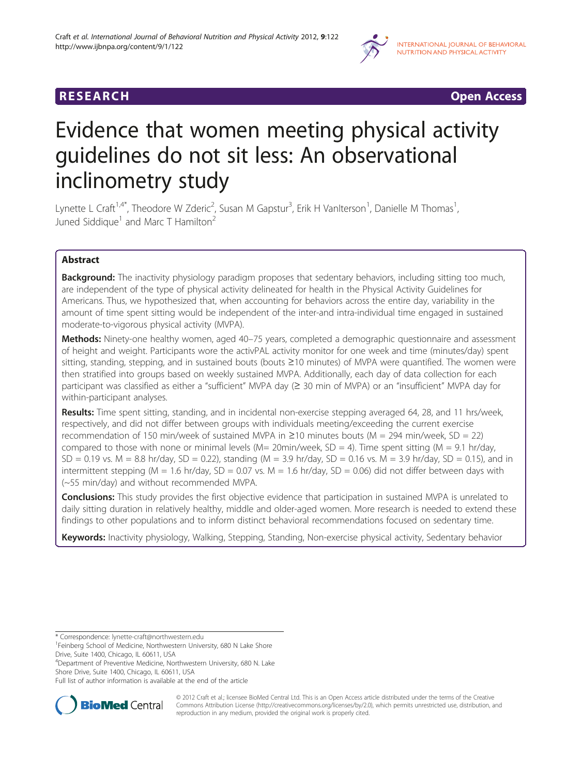

**RESEARCH CHINESEARCH CHINESEARCH** 

# Evidence that women meeting physical activity guidelines do not sit less: An observational inclinometry study

Lynette L Craft<sup>1,4\*</sup>, Theodore W Zderic<sup>2</sup>, Susan M Gapstur<sup>3</sup>, Erik H VanIterson<sup>1</sup>, Danielle M Thomas<sup>1</sup> , Juned Siddique<sup>1</sup> and Marc T Hamilton<sup>2</sup>

# Abstract

**Background:** The inactivity physiology paradigm proposes that sedentary behaviors, including sitting too much, are independent of the type of physical activity delineated for health in the Physical Activity Guidelines for Americans. Thus, we hypothesized that, when accounting for behaviors across the entire day, variability in the amount of time spent sitting would be independent of the inter-and intra-individual time engaged in sustained moderate-to-vigorous physical activity (MVPA).

Methods: Ninety-one healthy women, aged 40-75 years, completed a demographic questionnaire and assessment of height and weight. Participants wore the activPAL activity monitor for one week and time (minutes/day) spent sitting, standing, stepping, and in sustained bouts (bouts ≥10 minutes) of MVPA were quantified. The women were then stratified into groups based on weekly sustained MVPA. Additionally, each day of data collection for each participant was classified as either a "sufficient" MVPA day (≥ 30 min of MVPA) or an "insufficient" MVPA day for within-participant analyses.

Results: Time spent sitting, standing, and in incidental non-exercise stepping averaged 64, 28, and 11 hrs/week, respectively, and did not differ between groups with individuals meeting/exceeding the current exercise recommendation of 150 min/week of sustained MVPA in  $\geq$ 10 minutes bouts (M = 294 min/week, SD = 22) compared to those with none or minimal levels (M= 20min/week, SD = 4). Time spent sitting (M = 9.1 hr/day, SD = 0.19 vs. M = 8.8 hr/day, SD = 0.22), standing (M = 3.9 hr/day, SD = 0.16 vs. M = 3.9 hr/day, SD = 0.15), and in intermittent stepping (M = 1.6 hr/day, SD = 0.07 vs. M = 1.6 hr/day, SD = 0.06) did not differ between days with (~55 min/day) and without recommended MVPA.

**Conclusions:** This study provides the first objective evidence that participation in sustained MVPA is unrelated to daily sitting duration in relatively healthy, middle and older-aged women. More research is needed to extend these findings to other populations and to inform distinct behavioral recommendations focused on sedentary time.

Keywords: Inactivity physiology, Walking, Stepping, Standing, Non-exercise physical activity, Sedentary behavior

\* Correspondence: [lynette-craft@northwestern.edu](mailto:lynette-raft@northwestern.edu) <sup>1</sup>

4 Department of Preventive Medicine, Northwestern University, 680 N. Lake Shore Drive, Suite 1400, Chicago, IL 60611, USA

Full list of author information is available at the end of the article



© 2012 Craft et al.; licensee BioMed Central Ltd. This is an Open Access article distributed under the terms of the Creative Commons Attribution License [\(http://creativecommons.org/licenses/by/2.0\)](http://creativecommons.org/licenses/by/2.0), which permits unrestricted use, distribution, and reproduction in any medium, provided the original work is properly cited.

<sup>&</sup>lt;sup>1</sup>Feinberg School of Medicine, Northwestern University, 680 N Lake Shore Drive, Suite 1400, Chicago, IL 60611, USA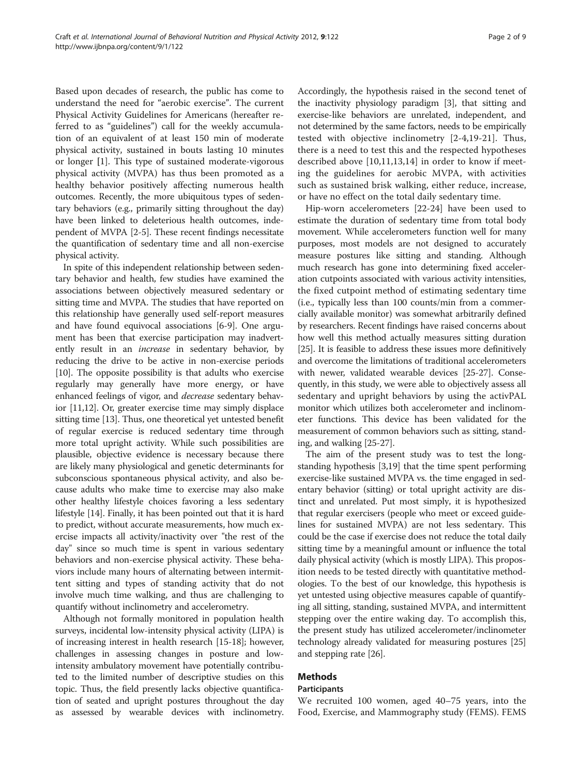Based upon decades of research, the public has come to understand the need for "aerobic exercise". The current Physical Activity Guidelines for Americans (hereafter referred to as "guidelines") call for the weekly accumulation of an equivalent of at least 150 min of moderate physical activity, sustained in bouts lasting 10 minutes or longer [[1](#page-8-0)]. This type of sustained moderate-vigorous physical activity (MVPA) has thus been promoted as a healthy behavior positively affecting numerous health outcomes. Recently, the more ubiquitous types of sedentary behaviors (e.g., primarily sitting throughout the day) have been linked to deleterious health outcomes, independent of MVPA [[2-5\]](#page-8-0). These recent findings necessitate the quantification of sedentary time and all non-exercise physical activity.

In spite of this independent relationship between sedentary behavior and health, few studies have examined the associations between objectively measured sedentary or sitting time and MVPA. The studies that have reported on this relationship have generally used self-report measures and have found equivocal associations [\[6](#page-8-0)-[9\]](#page-8-0). One argument has been that exercise participation may inadvertently result in an increase in sedentary behavior, by reducing the drive to be active in non-exercise periods [[10](#page-8-0)]. The opposite possibility is that adults who exercise regularly may generally have more energy, or have enhanced feelings of vigor, and decrease sedentary behavior [\[11,12\]](#page-8-0). Or, greater exercise time may simply displace sitting time [[13](#page-8-0)]. Thus, one theoretical yet untested benefit of regular exercise is reduced sedentary time through more total upright activity. While such possibilities are plausible, objective evidence is necessary because there are likely many physiological and genetic determinants for subconscious spontaneous physical activity, and also because adults who make time to exercise may also make other healthy lifestyle choices favoring a less sedentary lifestyle [\[14](#page-8-0)]. Finally, it has been pointed out that it is hard to predict, without accurate measurements, how much exercise impacts all activity/inactivity over "the rest of the day" since so much time is spent in various sedentary behaviors and non-exercise physical activity. These behaviors include many hours of alternating between intermittent sitting and types of standing activity that do not involve much time walking, and thus are challenging to quantify without inclinometry and accelerometry.

Although not formally monitored in population health surveys, incidental low-intensity physical activity (LIPA) is of increasing interest in health research [\[15-18\]](#page-8-0); however, challenges in assessing changes in posture and lowintensity ambulatory movement have potentially contributed to the limited number of descriptive studies on this topic. Thus, the field presently lacks objective quantification of seated and upright postures throughout the day as assessed by wearable devices with inclinometry.

Accordingly, the hypothesis raised in the second tenet of the inactivity physiology paradigm [[3](#page-8-0)], that sitting and exercise-like behaviors are unrelated, independent, and not determined by the same factors, needs to be empirically tested with objective inclinometry [\[2](#page-8-0)-[4,19](#page-8-0)-[21\]](#page-8-0). Thus, there is a need to test this and the respected hypotheses described above [[10,11,13](#page-8-0),[14\]](#page-8-0) in order to know if meeting the guidelines for aerobic MVPA, with activities such as sustained brisk walking, either reduce, increase, or have no effect on the total daily sedentary time.

Hip-worn accelerometers [\[22-24](#page-8-0)] have been used to estimate the duration of sedentary time from total body movement. While accelerometers function well for many purposes, most models are not designed to accurately measure postures like sitting and standing. Although much research has gone into determining fixed acceleration cutpoints associated with various activity intensities, the fixed cutpoint method of estimating sedentary time (i.e., typically less than 100 counts/min from a commercially available monitor) was somewhat arbitrarily defined by researchers. Recent findings have raised concerns about how well this method actually measures sitting duration [[25](#page-8-0)]. It is feasible to address these issues more definitively and overcome the limitations of traditional accelerometers with newer, validated wearable devices [[25-27\]](#page-8-0). Consequently, in this study, we were able to objectively assess all sedentary and upright behaviors by using the activPAL monitor which utilizes both accelerometer and inclinometer functions. This device has been validated for the measurement of common behaviors such as sitting, standing, and walking [\[25-27\]](#page-8-0).

The aim of the present study was to test the longstanding hypothesis [\[3,19\]](#page-8-0) that the time spent performing exercise-like sustained MVPA vs. the time engaged in sedentary behavior (sitting) or total upright activity are distinct and unrelated. Put most simply, it is hypothesized that regular exercisers (people who meet or exceed guidelines for sustained MVPA) are not less sedentary. This could be the case if exercise does not reduce the total daily sitting time by a meaningful amount or influence the total daily physical activity (which is mostly LIPA). This proposition needs to be tested directly with quantitative methodologies. To the best of our knowledge, this hypothesis is yet untested using objective measures capable of quantifying all sitting, standing, sustained MVPA, and intermittent stepping over the entire waking day. To accomplish this, the present study has utilized accelerometer/inclinometer technology already validated for measuring postures [[25](#page-8-0)] and stepping rate [[26](#page-8-0)].

# Methods

# Participants

We recruited 100 women, aged 40–75 years, into the Food, Exercise, and Mammography study (FEMS). FEMS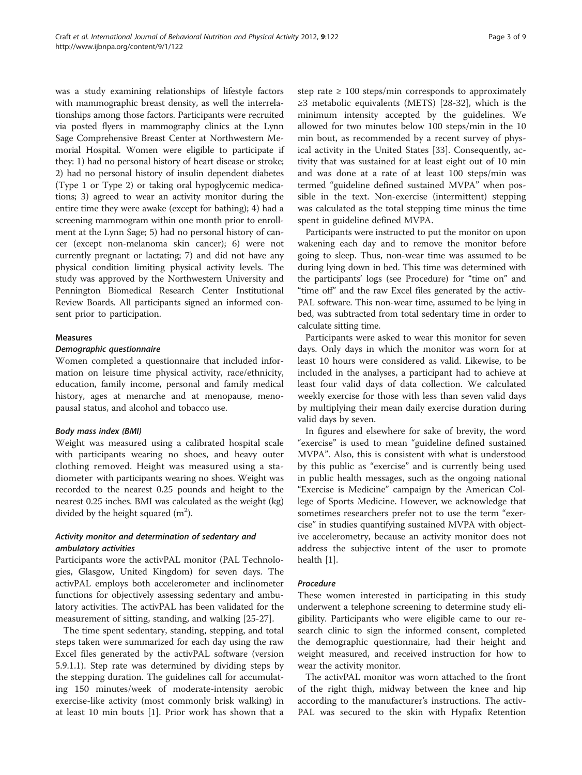was a study examining relationships of lifestyle factors with mammographic breast density, as well the interrelationships among those factors. Participants were recruited via posted flyers in mammography clinics at the Lynn Sage Comprehensive Breast Center at Northwestern Memorial Hospital. Women were eligible to participate if they: 1) had no personal history of heart disease or stroke; 2) had no personal history of insulin dependent diabetes (Type 1 or Type 2) or taking oral hypoglycemic medications; 3) agreed to wear an activity monitor during the entire time they were awake (except for bathing); 4) had a screening mammogram within one month prior to enrollment at the Lynn Sage; 5) had no personal history of cancer (except non-melanoma skin cancer); 6) were not currently pregnant or lactating; 7) and did not have any physical condition limiting physical activity levels. The study was approved by the Northwestern University and Pennington Biomedical Research Center Institutional Review Boards. All participants signed an informed consent prior to participation.

# Measures

# Demographic questionnaire

Women completed a questionnaire that included information on leisure time physical activity, race/ethnicity, education, family income, personal and family medical history, ages at menarche and at menopause, menopausal status, and alcohol and tobacco use.

# Body mass index (BMI)

Weight was measured using a calibrated hospital scale with participants wearing no shoes, and heavy outer clothing removed. Height was measured using a stadiometer with participants wearing no shoes. Weight was recorded to the nearest 0.25 pounds and height to the nearest 0.25 inches. BMI was calculated as the weight (kg) divided by the height squared  $(m^2)$ .

# Activity monitor and determination of sedentary and ambulatory activities

Participants wore the activPAL monitor (PAL Technologies, Glasgow, United Kingdom) for seven days. The activPAL employs both accelerometer and inclinometer functions for objectively assessing sedentary and ambulatory activities. The activPAL has been validated for the measurement of sitting, standing, and walking [\[25-27](#page-8-0)].

The time spent sedentary, standing, stepping, and total steps taken were summarized for each day using the raw Excel files generated by the activPAL software (version 5.9.1.1). Step rate was determined by dividing steps by the stepping duration. The guidelines call for accumulating 150 minutes/week of moderate-intensity aerobic exercise-like activity (most commonly brisk walking) in at least 10 min bouts [[1](#page-8-0)]. Prior work has shown that a step rate  $\geq 100$  steps/min corresponds to approximately ≥3 metabolic equivalents (METS) [[28](#page-8-0)-[32\]](#page-8-0), which is the minimum intensity accepted by the guidelines. We allowed for two minutes below 100 steps/min in the 10 min bout, as recommended by a recent survey of physical activity in the United States [[33\]](#page-8-0). Consequently, activity that was sustained for at least eight out of 10 min and was done at a rate of at least 100 steps/min was termed "guideline defined sustained MVPA" when possible in the text. Non-exercise (intermittent) stepping was calculated as the total stepping time minus the time spent in guideline defined MVPA.

Participants were instructed to put the monitor on upon wakening each day and to remove the monitor before going to sleep. Thus, non-wear time was assumed to be during lying down in bed. This time was determined with the participants' logs (see Procedure) for "time on" and "time off" and the raw Excel files generated by the activ-PAL software. This non-wear time, assumed to be lying in bed, was subtracted from total sedentary time in order to calculate sitting time.

Participants were asked to wear this monitor for seven days. Only days in which the monitor was worn for at least 10 hours were considered as valid. Likewise, to be included in the analyses, a participant had to achieve at least four valid days of data collection. We calculated weekly exercise for those with less than seven valid days by multiplying their mean daily exercise duration during valid days by seven.

In figures and elsewhere for sake of brevity, the word "exercise" is used to mean "guideline defined sustained MVPA". Also, this is consistent with what is understood by this public as "exercise" and is currently being used in public health messages, such as the ongoing national "Exercise is Medicine" campaign by the American College of Sports Medicine. However, we acknowledge that sometimes researchers prefer not to use the term "exercise" in studies quantifying sustained MVPA with objective accelerometry, because an activity monitor does not address the subjective intent of the user to promote health [[1\]](#page-8-0).

# Procedure

These women interested in participating in this study underwent a telephone screening to determine study eligibility. Participants who were eligible came to our research clinic to sign the informed consent, completed the demographic questionnaire, had their height and weight measured, and received instruction for how to wear the activity monitor.

The activPAL monitor was worn attached to the front of the right thigh, midway between the knee and hip according to the manufacturer's instructions. The activ-PAL was secured to the skin with Hypafix Retention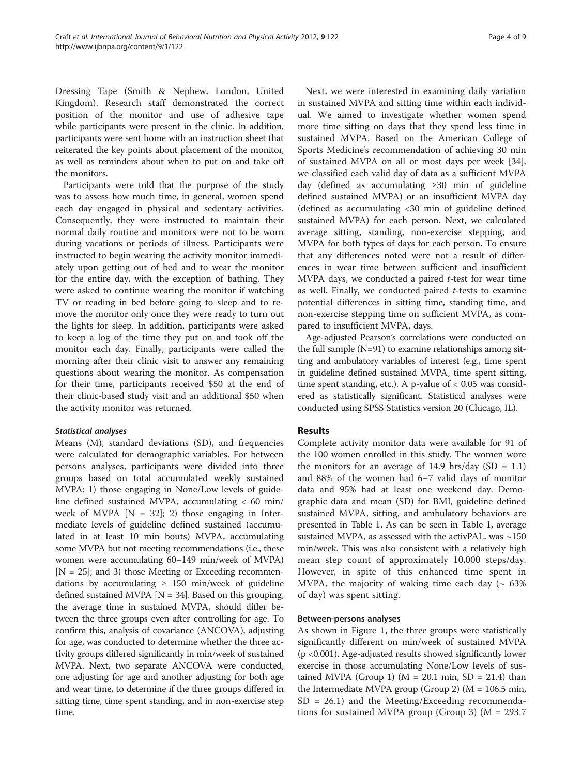Dressing Tape (Smith & Nephew, London, United Kingdom). Research staff demonstrated the correct position of the monitor and use of adhesive tape while participants were present in the clinic. In addition, participants were sent home with an instruction sheet that reiterated the key points about placement of the monitor, as well as reminders about when to put on and take off the monitors.

Participants were told that the purpose of the study was to assess how much time, in general, women spend each day engaged in physical and sedentary activities. Consequently, they were instructed to maintain their normal daily routine and monitors were not to be worn during vacations or periods of illness. Participants were instructed to begin wearing the activity monitor immediately upon getting out of bed and to wear the monitor for the entire day, with the exception of bathing. They were asked to continue wearing the monitor if watching TV or reading in bed before going to sleep and to remove the monitor only once they were ready to turn out the lights for sleep. In addition, participants were asked to keep a log of the time they put on and took off the monitor each day. Finally, participants were called the morning after their clinic visit to answer any remaining questions about wearing the monitor. As compensation for their time, participants received \$50 at the end of their clinic-based study visit and an additional \$50 when the activity monitor was returned.

# Statistical analyses

Means (M), standard deviations (SD), and frequencies were calculated for demographic variables. For between persons analyses, participants were divided into three groups based on total accumulated weekly sustained MVPA: 1) those engaging in None/Low levels of guideline defined sustained MVPA, accumulating < 60 min/ week of MVPA  $[N = 32]$ ; 2) those engaging in Intermediate levels of guideline defined sustained (accumulated in at least 10 min bouts) MVPA, accumulating some MVPA but not meeting recommendations (i.e., these women were accumulating 60–149 min/week of MVPA)  $[N = 25]$ ; and 3) those Meeting or Exceeding recommendations by accumulating  $\geq$  150 min/week of guideline defined sustained MVPA  $[N = 34]$ . Based on this grouping, the average time in sustained MVPA, should differ between the three groups even after controlling for age. To confirm this, analysis of covariance (ANCOVA), adjusting for age, was conducted to determine whether the three activity groups differed significantly in min/week of sustained MVPA. Next, two separate ANCOVA were conducted, one adjusting for age and another adjusting for both age and wear time, to determine if the three groups differed in sitting time, time spent standing, and in non-exercise step time.

Next, we were interested in examining daily variation in sustained MVPA and sitting time within each individual. We aimed to investigate whether women spend more time sitting on days that they spend less time in sustained MVPA. Based on the American College of Sports Medicine's recommendation of achieving 30 min of sustained MVPA on all or most days per week [\[34](#page-8-0)], we classified each valid day of data as a sufficient MVPA day (defined as accumulating ≥30 min of guideline defined sustained MVPA) or an insufficient MVPA day (defined as accumulating <30 min of guideline defined sustained MVPA) for each person. Next, we calculated average sitting, standing, non-exercise stepping, and MVPA for both types of days for each person. To ensure that any differences noted were not a result of differences in wear time between sufficient and insufficient MVPA days, we conducted a paired t-test for wear time as well. Finally, we conducted paired  $t$ -tests to examine potential differences in sitting time, standing time, and non-exercise stepping time on sufficient MVPA, as compared to insufficient MVPA, days.

Age-adjusted Pearson's correlations were conducted on the full sample (N=91) to examine relationships among sitting and ambulatory variables of interest (e.g., time spent in guideline defined sustained MVPA, time spent sitting, time spent standing, etc.). A p-value of  $< 0.05$  was considered as statistically significant. Statistical analyses were conducted using SPSS Statistics version 20 (Chicago, IL).

# Results

Complete activity monitor data were available for 91 of the 100 women enrolled in this study. The women wore the monitors for an average of 14.9 hrs/day  $(SD = 1.1)$ and 88% of the women had 6–7 valid days of monitor data and 95% had at least one weekend day. Demographic data and mean (SD) for BMI, guideline defined sustained MVPA, sitting, and ambulatory behaviors are presented in Table [1](#page-4-0). As can be seen in Table [1,](#page-4-0) average sustained MVPA, as assessed with the activPAL, was  $\sim$ 150 min/week. This was also consistent with a relatively high mean step count of approximately 10,000 steps/day. However, in spite of this enhanced time spent in MVPA, the majority of waking time each day ( $\sim 63\%$ ) of day) was spent sitting.

# Between-persons analyses

As shown in Figure [1](#page-4-0), the three groups were statistically significantly different on min/week of sustained MVPA (p <0.001). Age-adjusted results showed significantly lower exercise in those accumulating None/Low levels of sustained MVPA (Group 1) ( $M = 20.1$  min, SD = 21.4) than the Intermediate MVPA group (Group 2) ( $M = 106.5$  min,  $SD = 26.1$ ) and the Meeting/Exceeding recommendations for sustained MVPA group (Group 3) ( $M = 293.7$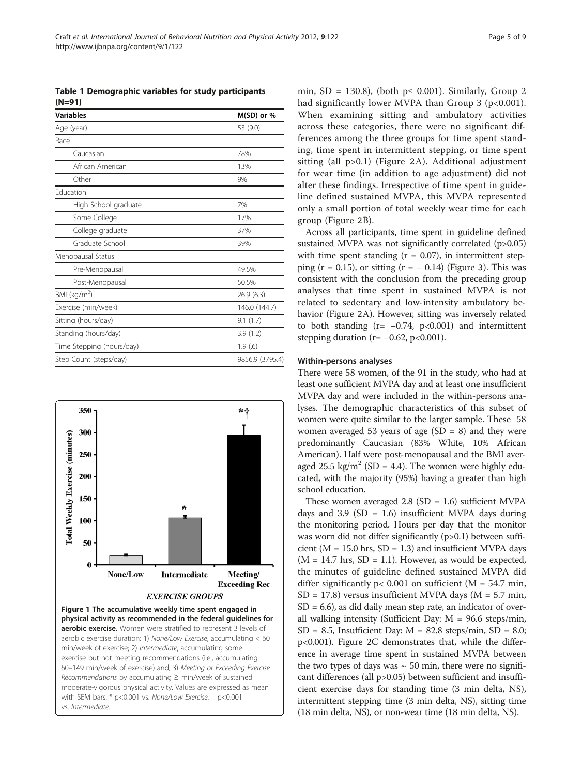<span id="page-4-0"></span>Table 1 Demographic variables for study participants (N=91)

| <b>Variables</b>          | M(SD) or %      |
|---------------------------|-----------------|
| Age (year)                | 53 (9.0)        |
| Race                      |                 |
| Caucasian                 | 78%             |
| African American          | 13%             |
| Other                     | 9%              |
| Fducation                 |                 |
| High School graduate      | 7%              |
| Some College              | 17%             |
| College graduate          | 37%             |
| Graduate School           | 39%             |
| Menopausal Status         |                 |
| Pre-Menopausal            | 49.5%           |
| Post-Menopausal           | 50.5%           |
| BMI ( $kg/m2$ )           | 26.9(6.3)       |
| Exercise (min/week)       | 146.0 (144.7)   |
| Sitting (hours/day)       | 9.1(1.7)        |
| Standing (hours/day)      | 3.9(1.2)        |
| Time Stepping (hours/day) | 1.9(6)          |
| Step Count (steps/day)    | 9856.9 (3795.4) |



min, SD = 130.8), (both  $p \le 0.001$ ). Similarly, Group 2 had significantly lower MVPA than Group 3 (p<0.001). When examining sitting and ambulatory activities across these categories, there were no significant differences among the three groups for time spent standing, time spent in intermittent stepping, or time spent sitting (all p>0.1) (Figure 2[A](#page-5-0)). Additional adjustment for wear time (in addition to age adjustment) did not alter these findings. Irrespective of time spent in guideline defined sustained MVPA, this MVPA represented only a small portion of total weekly wear time for each group (Figure [2](#page-5-0)B).

Across all participants, time spent in guideline defined sustained MVPA was not significantly correlated (p>0.05) with time spent standing  $(r = 0.07)$ , in intermittent stepping (r = 0.15), or sitting (r =  $-$  0.14) (Figure [3](#page-6-0)). This was consistent with the conclusion from the preceding group analyses that time spent in sustained MVPA is not related to sedentary and low-intensity ambulatory behavior (Figure 2[A](#page-5-0)). However, sitting was inversely related to both standing ( $r=-0.74$ ,  $p<0.001$ ) and intermittent stepping duration ( $r=-0.62$ ,  $p<0.001$ ).

# Within-persons analyses

There were 58 women, of the 91 in the study, who had at least one sufficient MVPA day and at least one insufficient MVPA day and were included in the within-persons analyses. The demographic characteristics of this subset of women were quite similar to the larger sample. These 58 women averaged 53 years of age  $(SD = 8)$  and they were predominantly Caucasian (83% White, 10% African American). Half were post-menopausal and the BMI averaged 25.5 kg/m<sup>2</sup> (SD = 4.4). The women were highly educated, with the majority (95%) having a greater than high school education.

These women averaged  $2.8$  (SD = 1.6) sufficient MVPA days and 3.9 (SD = 1.6) insufficient MVPA days during the monitoring period. Hours per day that the monitor was worn did not differ significantly (p>0.1) between sufficient ( $M = 15.0$  hrs,  $SD = 1.3$ ) and insufficient MVPA days  $(M = 14.7 \text{ hrs}, SD = 1.1)$ . However, as would be expected, the minutes of guideline defined sustained MVPA did differ significantly  $p < 0.001$  on sufficient (M = 54.7 min,  $SD = 17.8$ ) versus insufficient MVPA days (M = 5.7 min,  $SD = 6.6$ ), as did daily mean step rate, an indicator of overall walking intensity (Sufficient Day:  $M = 96.6$  steps/min,  $SD = 8.5$ , Insufficient Day:  $M = 82.8$  steps/min,  $SD = 8.0$ ; p<0.001). Figure [2C](#page-5-0) demonstrates that, while the difference in average time spent in sustained MVPA between the two types of days was  $\sim$  50 min, there were no significant differences (all p>0.05) between sufficient and insufficient exercise days for standing time (3 min delta, NS), intermittent stepping time (3 min delta, NS), sitting time (18 min delta, NS), or non-wear time (18 min delta, NS).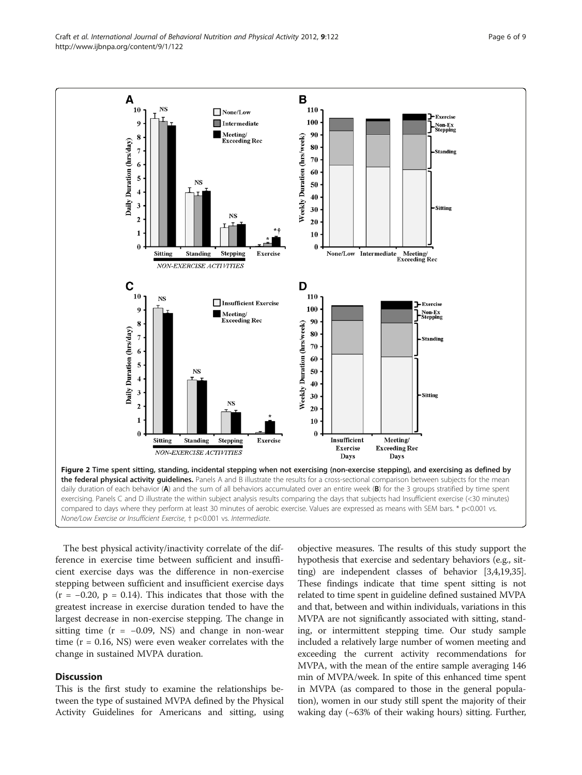The best physical activity/inactivity correlate of the difference in exercise time between sufficient and insufficient exercise days was the difference in non-exercise stepping between sufficient and insufficient exercise days  $(r = -0.20, p = 0.14)$ . This indicates that those with the None/Low Exercise or Insufficient Exercise, † p<0.001 vs. Intermediate.

greatest increase in exercise duration tended to have the largest decrease in non-exercise stepping. The change in sitting time ( $r = -0.09$ , NS) and change in non-wear time  $(r = 0.16, NS)$  were even weaker correlates with the objective measures. The results of this study support the hypothesis that exercise and sedentary behaviors (e.g., sitting) are independent classes of behavior [\[3,4,19,35](#page-8-0)]. These findings indicate that time spent sitting is not related to time spent in guideline defined sustained MVPA and that, between and within individuals, variations in this MVPA are not significantly associated with sitting, standing, or intermittent stepping time. Our study sample included a relatively large number of women meeting and exceeding the current activity recommendations for MVPA, with the mean of the entire sample averaging 146 min of MVPA/week. In spite of this enhanced time spent in MVPA (as compared to those in the general population), women in our study still spent the majority of their

waking day (~63% of their waking hours) sitting. Further,

<span id="page-5-0"></span>

# **Discussion**

This is the first study to examine the relationships between the type of sustained MVPA defined by the Physical Activity Guidelines for Americans and sitting, using

change in sustained MVPA duration.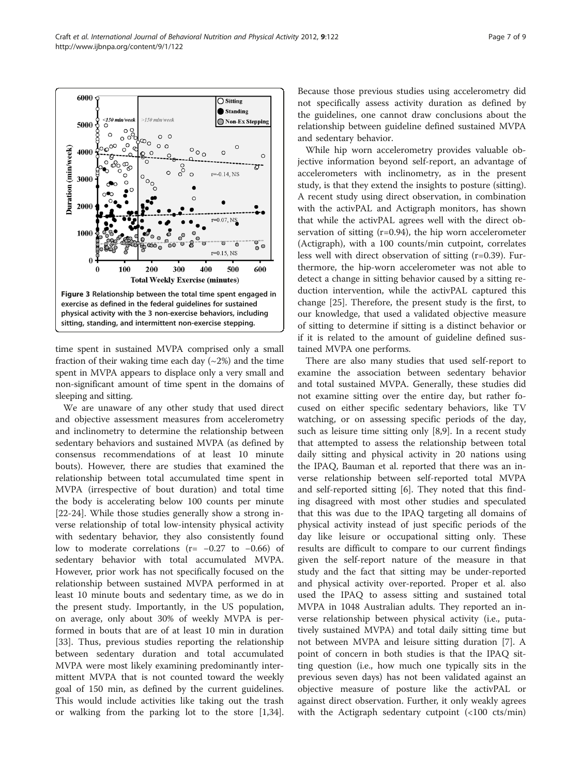<span id="page-6-0"></span>

time spent in sustained MVPA comprised only a small fraction of their waking time each day  $(\sim 2\%)$  and the time spent in MVPA appears to displace only a very small and non-significant amount of time spent in the domains of sleeping and sitting.

We are unaware of any other study that used direct and objective assessment measures from accelerometry and inclinometry to determine the relationship between sedentary behaviors and sustained MVPA (as defined by consensus recommendations of at least 10 minute bouts). However, there are studies that examined the relationship between total accumulated time spent in MVPA (irrespective of bout duration) and total time the body is accelerating below 100 counts per minute [[22-24](#page-8-0)]. While those studies generally show a strong inverse relationship of total low-intensity physical activity with sedentary behavior, they also consistently found low to moderate correlations (r= −0.27 to −0.66) of sedentary behavior with total accumulated MVPA. However, prior work has not specifically focused on the relationship between sustained MVPA performed in at least 10 minute bouts and sedentary time, as we do in the present study. Importantly, in the US population, on average, only about 30% of weekly MVPA is performed in bouts that are of at least 10 min in duration [[33\]](#page-8-0). Thus, previous studies reporting the relationship between sedentary duration and total accumulated MVPA were most likely examining predominantly intermittent MVPA that is not counted toward the weekly goal of 150 min, as defined by the current guidelines. This would include activities like taking out the trash or walking from the parking lot to the store [\[1,34](#page-8-0)].

Because those previous studies using accelerometry did not specifically assess activity duration as defined by the guidelines, one cannot draw conclusions about the relationship between guideline defined sustained MVPA and sedentary behavior.

While hip worn accelerometry provides valuable objective information beyond self-report, an advantage of accelerometers with inclinometry, as in the present study, is that they extend the insights to posture (sitting). A recent study using direct observation, in combination with the activPAL and Actigraph monitors, has shown that while the activPAL agrees well with the direct observation of sitting  $(r=0.94)$ , the hip worn accelerometer (Actigraph), with a 100 counts/min cutpoint, correlates less well with direct observation of sitting (r=0.39). Furthermore, the hip-worn accelerometer was not able to detect a change in sitting behavior caused by a sitting reduction intervention, while the activPAL captured this change [\[25](#page-8-0)]. Therefore, the present study is the first, to our knowledge, that used a validated objective measure of sitting to determine if sitting is a distinct behavior or if it is related to the amount of guideline defined sustained MVPA one performs.

There are also many studies that used self-report to examine the association between sedentary behavior and total sustained MVPA. Generally, these studies did not examine sitting over the entire day, but rather focused on either specific sedentary behaviors, like TV watching, or on assessing specific periods of the day, such as leisure time sitting only [[8](#page-8-0),[9\]](#page-8-0). In a recent study that attempted to assess the relationship between total daily sitting and physical activity in 20 nations using the IPAQ, Bauman et al. reported that there was an inverse relationship between self-reported total MVPA and self-reported sitting [[6\]](#page-8-0). They noted that this finding disagreed with most other studies and speculated that this was due to the IPAQ targeting all domains of physical activity instead of just specific periods of the day like leisure or occupational sitting only. These results are difficult to compare to our current findings given the self-report nature of the measure in that study and the fact that sitting may be under-reported and physical activity over-reported. Proper et al. also used the IPAQ to assess sitting and sustained total MVPA in 1048 Australian adults. They reported an inverse relationship between physical activity (i.e., putatively sustained MVPA) and total daily sitting time but not between MVPA and leisure sitting duration [[7\]](#page-8-0). A point of concern in both studies is that the IPAQ sitting question (i.e., how much one typically sits in the previous seven days) has not been validated against an objective measure of posture like the activPAL or against direct observation. Further, it only weakly agrees with the Actigraph sedentary cutpoint (<100 cts/min)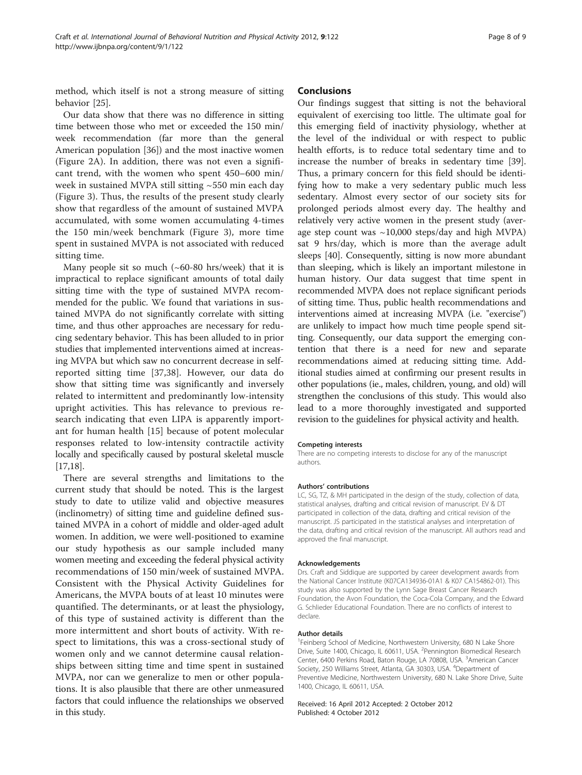method, which itself is not a strong measure of sitting behavior [\[25](#page-8-0)].

Our data show that there was no difference in sitting time between those who met or exceeded the 150 min/ week recommendation (far more than the general American population [[36\]](#page-8-0)) and the most inactive women (Figure [2A\)](#page-5-0). In addition, there was not even a significant trend, with the women who spent 450–600 min/ week in sustained MVPA still sitting ~550 min each day (Figure [3](#page-6-0)). Thus, the results of the present study clearly show that regardless of the amount of sustained MVPA accumulated, with some women accumulating 4-times the 150 min/week benchmark (Figure [3\)](#page-6-0), more time spent in sustained MVPA is not associated with reduced sitting time.

Many people sit so much  $(\sim 60-80$  hrs/week) that it is impractical to replace significant amounts of total daily sitting time with the type of sustained MVPA recommended for the public. We found that variations in sustained MVPA do not significantly correlate with sitting time, and thus other approaches are necessary for reducing sedentary behavior. This has been alluded to in prior studies that implemented interventions aimed at increasing MVPA but which saw no concurrent decrease in selfreported sitting time [[37,38](#page-8-0)]. However, our data do show that sitting time was significantly and inversely related to intermittent and predominantly low-intensity upright activities. This has relevance to previous research indicating that even LIPA is apparently important for human health [[15](#page-8-0)] because of potent molecular responses related to low-intensity contractile activity locally and specifically caused by postural skeletal muscle [[17,18](#page-8-0)].

There are several strengths and limitations to the current study that should be noted. This is the largest study to date to utilize valid and objective measures (inclinometry) of sitting time and guideline defined sustained MVPA in a cohort of middle and older-aged adult women. In addition, we were well-positioned to examine our study hypothesis as our sample included many women meeting and exceeding the federal physical activity recommendations of 150 min/week of sustained MVPA. Consistent with the Physical Activity Guidelines for Americans, the MVPA bouts of at least 10 minutes were quantified. The determinants, or at least the physiology, of this type of sustained activity is different than the more intermittent and short bouts of activity. With respect to limitations, this was a cross-sectional study of women only and we cannot determine causal relationships between sitting time and time spent in sustained MVPA, nor can we generalize to men or other populations. It is also plausible that there are other unmeasured factors that could influence the relationships we observed in this study.

# **Conclusions**

Our findings suggest that sitting is not the behavioral equivalent of exercising too little. The ultimate goal for this emerging field of inactivity physiology, whether at the level of the individual or with respect to public health efforts, is to reduce total sedentary time and to increase the number of breaks in sedentary time [\[39](#page-8-0)]. Thus, a primary concern for this field should be identifying how to make a very sedentary public much less sedentary. Almost every sector of our society sits for prolonged periods almost every day. The healthy and relatively very active women in the present study (average step count was  $\sim$ 10,000 steps/day and high MVPA) sat 9 hrs/day, which is more than the average adult sleeps [[40](#page-8-0)]. Consequently, sitting is now more abundant than sleeping, which is likely an important milestone in human history. Our data suggest that time spent in recommended MVPA does not replace significant periods of sitting time. Thus, public health recommendations and interventions aimed at increasing MVPA (i.e. "exercise") are unlikely to impact how much time people spend sitting. Consequently, our data support the emerging contention that there is a need for new and separate recommendations aimed at reducing sitting time. Additional studies aimed at confirming our present results in other populations (ie., males, children, young, and old) will strengthen the conclusions of this study. This would also lead to a more thoroughly investigated and supported revision to the guidelines for physical activity and health.

#### Competing interests

There are no competing interests to disclose for any of the manuscript authors.

#### Authors' contributions

LC, SG, TZ, & MH participated in the design of the study, collection of data, statistical analyses, drafting and critical revision of manuscript. EV & DT participated in collection of the data, drafting and critical revision of the manuscript. JS participated in the statistical analyses and interpretation of the data, drafting and critical revision of the manuscript. All authors read and approved the final manuscript.

#### Acknowledgements

Drs. Craft and Siddique are supported by career development awards from the National Cancer Institute (K07CA134936-01A1 & K07 CA154862-01). This study was also supported by the Lynn Sage Breast Cancer Research Foundation, the Avon Foundation, the Coca-Cola Company, and the Edward G. Schlieder Educational Foundation. There are no conflicts of interest to declare.

#### Author details

<sup>1</sup>Feinberg School of Medicine, Northwestern University, 680 N Lake Shore Drive, Suite 1400, Chicago, IL 60611, USA. <sup>2</sup>Pennington Biomedical Research Center, 6400 Perkins Road, Baton Rouge, LA 70808, USA. <sup>3</sup>American Cancer Society, 250 Williams Street, Atlanta, GA 30303, USA. <sup>4</sup>Department of Preventive Medicine, Northwestern University, 680 N. Lake Shore Drive, Suite 1400, Chicago, IL 60611, USA.

Received: 16 April 2012 Accepted: 2 October 2012 Published: 4 October 2012